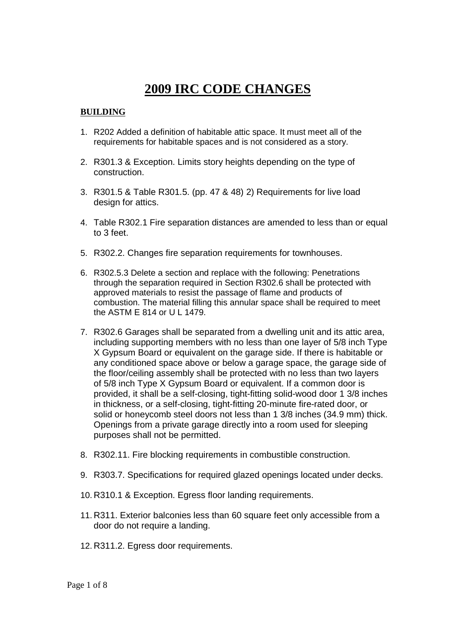# **2009 IRC CODE CHANGES**

# **BUILDING**

- 1. R202 Added a definition of habitable attic space. It must meet all of the requirements for habitable spaces and is not considered as a story.
- 2. R301.3 & Exception. Limits story heights depending on the type of construction.
- 3. R301.5 & Table R301.5. (pp. 47 & 48) 2) Requirements for live load design for attics.
- 4. Table R302.1 Fire separation distances are amended to less than or equal to 3 feet.
- 5. R302.2. Changes fire separation requirements for townhouses.
- 6. R302.5.3 Delete a section and replace with the following: Penetrations through the separation required in Section R302.6 shall be protected with approved materials to resist the passage of flame and products of combustion. The material filling this annular space shall be required to meet the ASTM E 814 or U L 1479.
- 7. R302.6 Garages shall be separated from a dwelling unit and its attic area, including supporting members with no less than one layer of 5/8 inch Type X Gypsum Board or equivalent on the garage side. If there is habitable or any conditioned space above or below a garage space, the garage side of the floor/ceiling assembly shall be protected with no less than two layers of 5/8 inch Type X Gypsum Board or equivalent. If a common door is provided, it shall be a self-closing, tight-fitting solid-wood door 1 3/8 inches in thickness, or a self-closing, tight-fitting 20-minute fire-rated door, or solid or honeycomb steel doors not less than 1 3/8 inches (34.9 mm) thick. Openings from a private garage directly into a room used for sleeping purposes shall not be permitted.
- 8. R302.11. Fire blocking requirements in combustible construction.
- 9. R303.7. Specifications for required glazed openings located under decks.
- 10. R310.1 & Exception. Egress floor landing requirements.
- 11. R311. Exterior balconies less than 60 square feet only accessible from a door do not require a landing.
- 12. R311.2. Egress door requirements.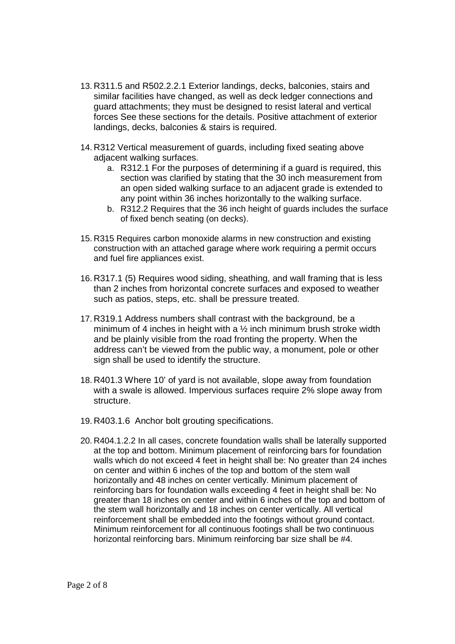- 13. R311.5 and R502.2.2.1 Exterior landings, decks, balconies, stairs and similar facilities have changed, as well as deck ledger connections and guard attachments; they must be designed to resist lateral and vertical forces See these sections for the details. Positive attachment of exterior landings, decks, balconies & stairs is required.
- 14. R312 Vertical measurement of guards, including fixed seating above adjacent walking surfaces.
	- a. R312.1 For the purposes of determining if a guard is required, this section was clarified by stating that the 30 inch measurement from an open sided walking surface to an adjacent grade is extended to any point within 36 inches horizontally to the walking surface.
	- b. R312.2 Requires that the 36 inch height of guards includes the surface of fixed bench seating (on decks).
- 15. R315 Requires carbon monoxide alarms in new construction and existing construction with an attached garage where work requiring a permit occurs and fuel fire appliances exist.
- 16. R317.1 (5) Requires wood siding, sheathing, and wall framing that is less than 2 inches from horizontal concrete surfaces and exposed to weather such as patios, steps, etc. shall be pressure treated.
- 17. R319.1 Address numbers shall contrast with the background, be a minimum of 4 inches in height with a ½ inch minimum brush stroke width and be plainly visible from the road fronting the property. When the address can't be viewed from the public way, a monument, pole or other sign shall be used to identify the structure.
- 18. R401.3 Where 10' of yard is not available, slope away from foundation with a swale is allowed. Impervious surfaces require 2% slope away from structure.
- 19. R403.1.6 Anchor bolt grouting specifications.
- 20. R404.1.2.2 In all cases, concrete foundation walls shall be laterally supported at the top and bottom. Minimum placement of reinforcing bars for foundation walls which do not exceed 4 feet in height shall be: No greater than 24 inches on center and within 6 inches of the top and bottom of the stem wall horizontally and 48 inches on center vertically. Minimum placement of reinforcing bars for foundation walls exceeding 4 feet in height shall be: No greater than 18 inches on center and within 6 inches of the top and bottom of the stem wall horizontally and 18 inches on center vertically. All vertical reinforcement shall be embedded into the footings without ground contact. Minimum reinforcement for all continuous footings shall be two continuous horizontal reinforcing bars. Minimum reinforcing bar size shall be #4.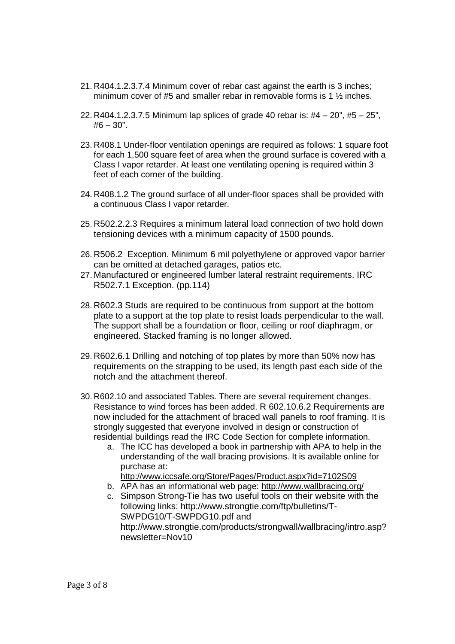- 21. R404.1.2.3.7.4 Minimum cover of rebar cast against the earth is 3 inches; minimum cover of #5 and smaller rebar in removable forms is 1 ½ inches.
- 22. R404.1.2.3.7.5 Minimum lap splices of grade 40 rebar is: #4 20", #5 25",  $#6 - 30$ ".
- 23. R408.1 Under-floor ventilation openings are required as follows: 1 square foot for each 1,500 square feet of area when the ground surface is covered with a Class I vapor retarder. At least one ventilating opening is required within 3 feet of each corner of the building.
- 24. R408.1.2 The ground surface of all under-floor spaces shall be provided with a continuous Class I vapor retarder.
- 25. R502.2.2.3 Requires a minimum lateral load connection of two hold down tensioning devices with a minimum capacity of 1500 pounds.
- 26. R506.2 Exception. Minimum 6 mil polyethylene or approved vapor barrier can be omitted at detached garages, patios etc.
- 27. Manufactured or engineered lumber lateral restraint requirements. IRC R502.7.1 Exception. (pp.114)
- 28. R602.3 Studs are required to be continuous from support at the bottom plate to a support at the top plate to resist loads perpendicular to the wall. The support shall be a foundation or floor, ceiling or roof diaphragm, or engineered. Stacked framing is no longer allowed.
- 29. R602.6.1 Drilling and notching of top plates by more than 50% now has requirements on the strapping to be used, its length past each side of the notch and the attachment thereof.
- 30. R602.10 and associated Tables. There are several requirement changes. Resistance to wind forces has been added. R 602.10.6.2 Requirements are now included for the attachment of braced wall panels to roof framing. It is strongly suggested that everyone involved in design or construction of residential buildings read the IRC Code Section for complete information.
	- a. The ICC has developed a book in partnership with APA to help in the understanding of the wall bracing provisions. It is available online for purchase at:
		- http://www.iccsafe.org/Store/Pages/Product.aspx?id=7102S09
	- b. APA has an informational web page: http://www.wallbracing.org/
	- c. Simpson Strong-Tie has two useful tools on their website with the following links: http://www.strongtie.com/ftp/bulletins/T-SWPDG10/T-SWPDG10.pdf and http://www.strongtie.com/products/strongwall/wallbracing/intro.asp? newsletter=Nov10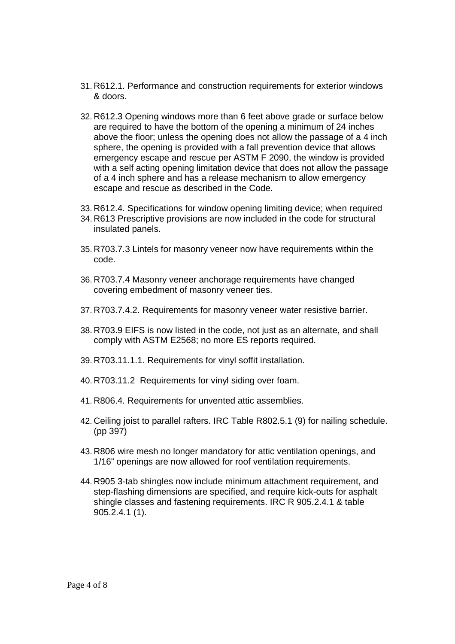- 31. R612.1. Performance and construction requirements for exterior windows & doors.
- 32. R612.3 Opening windows more than 6 feet above grade or surface below are required to have the bottom of the opening a minimum of 24 inches above the floor; unless the opening does not allow the passage of a 4 inch sphere, the opening is provided with a fall prevention device that allows emergency escape and rescue per ASTM F 2090, the window is provided with a self acting opening limitation device that does not allow the passage of a 4 inch sphere and has a release mechanism to allow emergency escape and rescue as described in the Code.
- 33. R612.4. Specifications for window opening limiting device; when required
- 34. R613 Prescriptive provisions are now included in the code for structural insulated panels.
- 35. R703.7.3 Lintels for masonry veneer now have requirements within the code.
- 36. R703.7.4 Masonry veneer anchorage requirements have changed covering embedment of masonry veneer ties.
- 37. R703.7.4.2. Requirements for masonry veneer water resistive barrier.
- 38. R703.9 EIFS is now listed in the code, not just as an alternate, and shall comply with ASTM E2568; no more ES reports required.
- 39. R703.11.1.1. Requirements for vinyl soffit installation.
- 40. R703.11.2 Requirements for vinyl siding over foam.
- 41. R806.4. Requirements for unvented attic assemblies.
- 42. Ceiling joist to parallel rafters. IRC Table R802.5.1 (9) for nailing schedule. (pp 397)
- 43. R806 wire mesh no longer mandatory for attic ventilation openings, and 1/16" openings are now allowed for roof ventilation requirements.
- 44. R905 3-tab shingles now include minimum attachment requirement, and step-flashing dimensions are specified, and require kick-outs for asphalt shingle classes and fastening requirements. IRC R 905.2.4.1 & table 905.2.4.1 (1).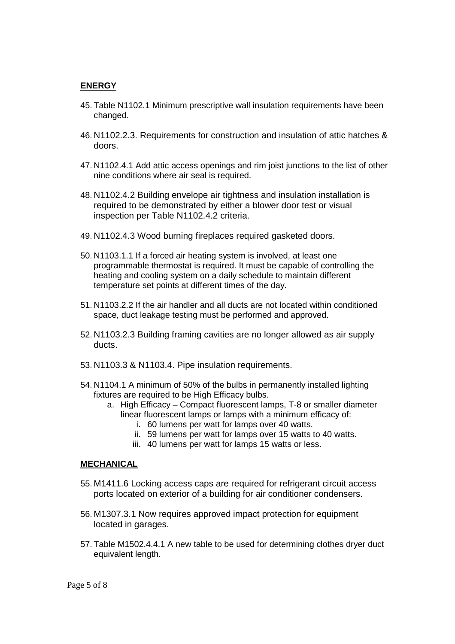## **ENERGY**

- 45. Table N1102.1 Minimum prescriptive wall insulation requirements have been changed.
- 46. N1102.2.3. Requirements for construction and insulation of attic hatches & doors.
- 47. N1102.4.1 Add attic access openings and rim joist junctions to the list of other nine conditions where air seal is required.
- 48. N1102.4.2 Building envelope air tightness and insulation installation is required to be demonstrated by either a blower door test or visual inspection per Table N1102.4.2 criteria.
- 49. N1102.4.3 Wood burning fireplaces required gasketed doors.
- 50. N1103.1.1 If a forced air heating system is involved, at least one programmable thermostat is required. It must be capable of controlling the heating and cooling system on a daily schedule to maintain different temperature set points at different times of the day.
- 51. N1103.2.2 If the air handler and all ducts are not located within conditioned space, duct leakage testing must be performed and approved.
- 52. N1103.2.3 Building framing cavities are no longer allowed as air supply ducts.
- 53. N1103.3 & N1103.4. Pipe insulation requirements.
- 54. N1104.1 A minimum of 50% of the bulbs in permanently installed lighting fixtures are required to be High Efficacy bulbs.
	- a. High Efficacy Compact fluorescent lamps, T-8 or smaller diameter linear fluorescent lamps or lamps with a minimum efficacy of:
		- i. 60 lumens per watt for lamps over 40 watts.
		- ii. 59 lumens per watt for lamps over 15 watts to 40 watts.
		- iii. 40 lumens per watt for lamps 15 watts or less.

#### **MECHANICAL**

- 55. M1411.6 Locking access caps are required for refrigerant circuit access ports located on exterior of a building for air conditioner condensers.
- 56. M1307.3.1 Now requires approved impact protection for equipment located in garages.
- 57. Table M1502.4.4.1 A new table to be used for determining clothes dryer duct equivalent length.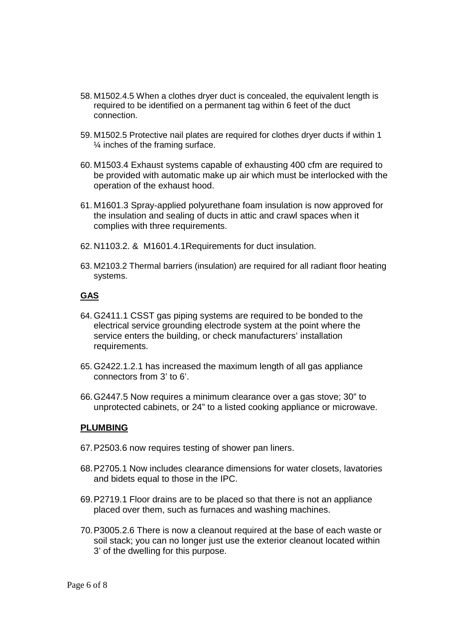- 58. M1502.4.5 When a clothes dryer duct is concealed, the equivalent length is required to be identified on a permanent tag within 6 feet of the duct connection.
- 59. M1502.5 Protective nail plates are required for clothes dryer ducts if within 1 ¼ inches of the framing surface.
- 60. M1503.4 Exhaust systems capable of exhausting 400 cfm are required to be provided with automatic make up air which must be interlocked with the operation of the exhaust hood.
- 61. M1601.3 Spray-applied polyurethane foam insulation is now approved for the insulation and sealing of ducts in attic and crawl spaces when it complies with three requirements.
- 62. N1103.2. & M1601.4.1Requirements for duct insulation.
- 63. M2103.2 Thermal barriers (insulation) are required for all radiant floor heating systems.

#### **GAS**

- 64. G2411.1 CSST gas piping systems are required to be bonded to the electrical service grounding electrode system at the point where the service enters the building, or check manufacturers' installation requirements.
- 65. G2422.1.2.1 has increased the maximum length of all gas appliance connectors from 3' to 6'.
- 66. G2447.5 Now requires a minimum clearance over a gas stove; 30" to unprotected cabinets, or 24" to a listed cooking appliance or microwave.

#### **PLUMBING**

- 67. P2503.6 now requires testing of shower pan liners.
- 68. P2705.1 Now includes clearance dimensions for water closets, lavatories and bidets equal to those in the IPC.
- 69. P2719.1 Floor drains are to be placed so that there is not an appliance placed over them, such as furnaces and washing machines.
- 70. P3005.2.6 There is now a cleanout required at the base of each waste or soil stack; you can no longer just use the exterior cleanout located within 3' of the dwelling for this purpose.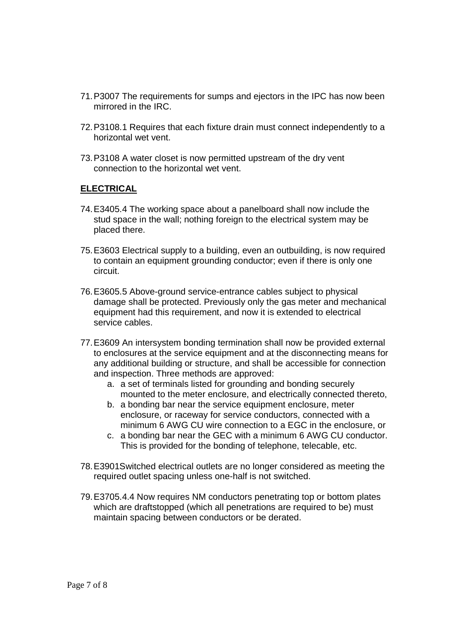- 71. P3007 The requirements for sumps and ejectors in the IPC has now been mirrored in the IRC.
- 72. P3108.1 Requires that each fixture drain must connect independently to a horizontal wet vent.
- 73. P3108 A water closet is now permitted upstream of the dry vent connection to the horizontal wet vent.

## **ELECTRICAL**

- 74. E3405.4 The working space about a panelboard shall now include the stud space in the wall; nothing foreign to the electrical system may be placed there.
- 75. E3603 Electrical supply to a building, even an outbuilding, is now required to contain an equipment grounding conductor; even if there is only one circuit.
- 76. E3605.5 Above-ground service-entrance cables subject to physical damage shall be protected. Previously only the gas meter and mechanical equipment had this requirement, and now it is extended to electrical service cables.
- 77. E3609 An intersystem bonding termination shall now be provided external to enclosures at the service equipment and at the disconnecting means for any additional building or structure, and shall be accessible for connection and inspection. Three methods are approved:
	- a. a set of terminals listed for grounding and bonding securely mounted to the meter enclosure, and electrically connected thereto,
	- b. a bonding bar near the service equipment enclosure, meter enclosure, or raceway for service conductors, connected with a minimum 6 AWG CU wire connection to a EGC in the enclosure, or
	- c. a bonding bar near the GEC with a minimum 6 AWG CU conductor. This is provided for the bonding of telephone, telecable, etc.
- 78. E3901Switched electrical outlets are no longer considered as meeting the required outlet spacing unless one-half is not switched.
- 79. E3705.4.4 Now requires NM conductors penetrating top or bottom plates which are draftstopped (which all penetrations are required to be) must maintain spacing between conductors or be derated.